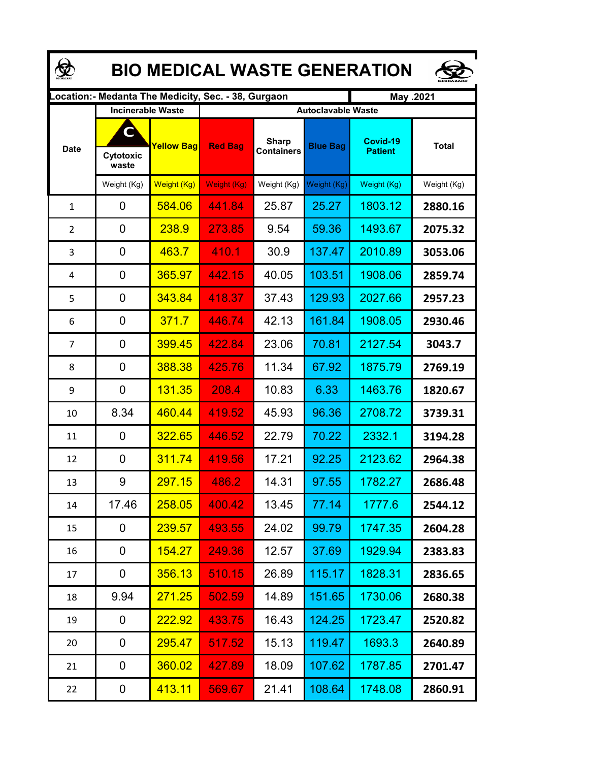| <b>BIO MEDICAL WASTE GENERATION</b> |                                                     |                   |                                                     |                                   |                                              |                            |              |  |  |  |
|-------------------------------------|-----------------------------------------------------|-------------------|-----------------------------------------------------|-----------------------------------|----------------------------------------------|----------------------------|--------------|--|--|--|
|                                     |                                                     |                   | Location:- Medanta The Medicity, Sec. - 38, Gurgaon |                                   |                                              | May .2021                  |              |  |  |  |
| <b>Date</b>                         | <b>Incinerable Waste</b><br>C<br>Cytotoxic<br>waste | <b>Yellow Bag</b> | <b>Red Bag</b>                                      | <b>Sharp</b><br><b>Containers</b> | <b>Autoclavable Waste</b><br><b>Blue Bag</b> | Covid-19<br><b>Patient</b> | <b>Total</b> |  |  |  |
|                                     | Weight (Kg)                                         | Weight (Kg)       | Weight (Kg)                                         | Weight (Kg)                       | Weight (Kg)                                  | Weight (Kg)                | Weight (Kg)  |  |  |  |
| $\mathbf 1$                         | 0                                                   | 584.06            | 441.84                                              | 25.87                             | 25.27                                        | 1803.12                    | 2880.16      |  |  |  |
| $\overline{2}$                      | 0                                                   | 238.9             | 273.85                                              | 9.54                              | 59.36                                        | 1493.67                    | 2075.32      |  |  |  |
| 3                                   | 0                                                   | 463.7             | 410.1                                               | 30.9                              | 137.47                                       | 2010.89                    | 3053.06      |  |  |  |
| 4                                   | 0                                                   | 365.97            | 442.15                                              | 40.05                             | 103.51                                       | 1908.06                    | 2859.74      |  |  |  |
| 5                                   | 0                                                   | 343.84            | 418.37                                              | 37.43                             | 129.93                                       | 2027.66                    | 2957.23      |  |  |  |
| 6                                   | 0                                                   | 371.7             | 446.74                                              | 42.13                             | 161.84                                       | 1908.05                    | 2930.46      |  |  |  |
| $\overline{7}$                      | $\mathbf 0$                                         | 399.45            | 422.84                                              | 23.06                             | 70.81                                        | 2127.54                    | 3043.7       |  |  |  |
| 8                                   | $\overline{0}$                                      | 388.38            | 425.76                                              | 11.34                             | 67.92                                        | 1875.79                    | 2769.19      |  |  |  |
| 9                                   | 0                                                   | 131.35            | 208.4                                               | 10.83                             | 6.33                                         | 1463.76                    | 1820.67      |  |  |  |
| 10                                  | 8.34                                                | 460.44            | 419.52                                              | 45.93                             | 96.36                                        | 2708.72                    | 3739.31      |  |  |  |
| 11                                  | 0                                                   | 322.65            | 446.52                                              | 22.79                             | 70.22                                        | 2332.1                     | 3194.28      |  |  |  |
| 12                                  | 0                                                   | 311.74            | 419.56                                              | 17.21                             | 92.25                                        | 2123.62                    | 2964.38      |  |  |  |
| 13                                  | 9                                                   | 297.15            | 486.2                                               | 14.31                             | 97.55                                        | 1782.27                    | 2686.48      |  |  |  |
| 14                                  | 17.46                                               | 258.05            | 400.42                                              | 13.45                             | 77.14                                        | 1777.6                     | 2544.12      |  |  |  |
| 15                                  | 0                                                   | <b>239.57</b>     | 493.55                                              | 24.02                             | 99.79                                        | 1747.35                    | 2604.28      |  |  |  |
| 16                                  | 0                                                   | <u> 154.27 </u>   | 249.36                                              | 12.57                             | 37.69                                        | 1929.94                    | 2383.83      |  |  |  |
| 17                                  | 0                                                   | <u>356.13</u>     | <u>510.15</u>                                       | 26.89                             | 115.17                                       | 1828.31                    | 2836.65      |  |  |  |
| 18                                  | 9.94                                                | <u>271.25</u>     | 502.59                                              | 14.89                             | 151.65                                       | 1730.06                    | 2680.38      |  |  |  |
| 19                                  | 0                                                   | <u>222.92</u>     | 433.75                                              | 16.43                             | 124.25                                       | 1723.47                    | 2520.82      |  |  |  |
| 20                                  | 0                                                   | <b>295.47</b>     | 517.52                                              | 15.13                             | 119.47                                       | 1693.3                     | 2640.89      |  |  |  |
| 21                                  | 0                                                   | 360.02            | 427.89                                              | 18.09                             | 107.62                                       | 1787.85                    | 2701.47      |  |  |  |
| 22                                  | 0                                                   | 413.11            | 569.67                                              | 21.41                             | 108.64                                       | 1748.08                    | 2860.91      |  |  |  |